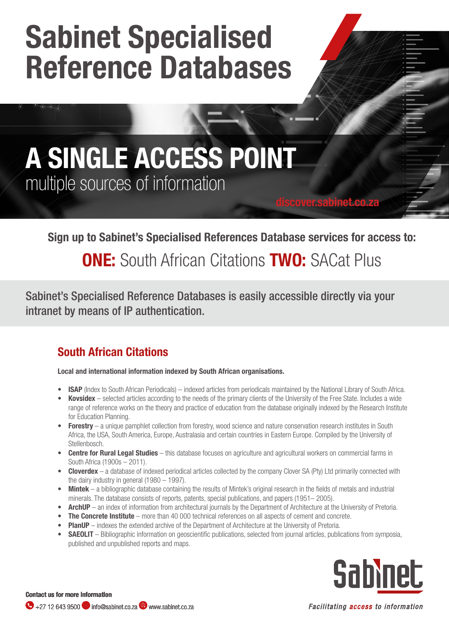# Sabinet Specialised Reference Databases

## A SINGLE ACCESS POINT multiple sources of information

#### Sign up to Sabinet's Specialised References Database services for access to:

discover.sabinet.co.za

### **ONE:** South African Citations **TWO:** SACat Plus

Sabinet's Specialised Reference Databases is easily accessible directly via your intranet by means of IP authentication.

#### South African Citations

#### Local and international information indexed by South African organisations.

- ISAP (Index to South African Periodicals) indexed articles from periodicals maintained by the National Library of South Africa.
- Kovsidex selected articles according to the needs of the primary clients of the University of the Free State. Includes a wide range of reference works on the theory and practice of education from the database originally indexed by the Research Institute for Education Planning.
- **Forestry** a unique pamphlet collection from forestry, wood science and nature conservation research institutes in South Africa, the USA, South America, Europe, Australasia and certain countries in Eastern Europe. Compiled by the University of Stellenbosch.
- **Centre for Rural Legal Studies** this database focuses on agriculture and agricultural workers on commercial farms in South Africa (1900s – 2011).
- Cloverdex a database of indexed periodical articles collected by the company Clover SA (Pty) Ltd primarily connected with the dairy industry in general (1980 – 1997).
- **Mintek** a bibliographic database containing the results of Mintek's original research in the fields of metals and industrial minerals. The database consists of reports, patents, special publications, and papers (1951– 2005).
- ArchUP an index of information from architectural journals by the Department of Architecture at the University of Pretoria.
- **The Concrete Institute** more than 40 000 technical references on all aspects of cement and concrete.
- **PlanUP** indexes the extended archive of the Department of Architecture at the University of Pretoria.
- SAEOLIT Bibliographic information on geoscientific publications, selected from journal articles, publications from symposia, published and unpublished reports and maps.



Contact us for more information  $\bigodot$  +27 12 643 9500 info@sabinet.co.za  $\bigcirc$  www.sabinet.co.za

Facilitating access to information